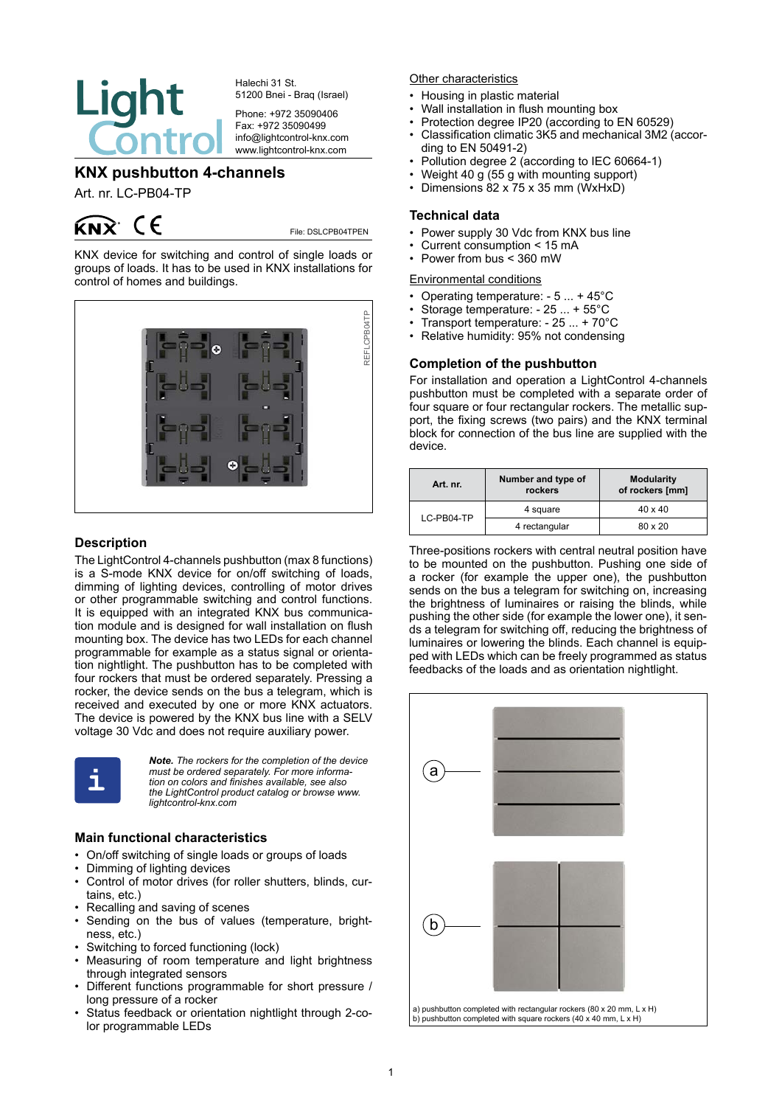

Halechi 31 St. 51200 Bnei - Braq (Israel)

Phone: +972 35090406 Fax: +972 35090499 info@lightcontrol-knx.com www.lightcontrol-knx.com

# **KNX pushbutton 4-channels**

Art. nr. LC-PB04-TP

# $k\rightarrow k$  (E

File: DSLCPB04TPEN

KNX device for switching and control of single loads or groups of loads. It has to be used in KNX installations for control of homes and buildings.



## **Description**

The LightControl 4-channels pushbutton (max 8 functions) is a S-mode KNX device for on/off switching of loads, dimming of lighting devices, controlling of motor drives or other programmable switching and control functions. It is equipped with an integrated KNX bus communication module and is designed for wall installation on flush mounting box. The device has two LEDs for each channel programmable for example as a status signal or orientation nightlight. The pushbutton has to be completed with four rockers that must be ordered separately. Pressing a rocker, the device sends on the bus a telegram, which is received and executed by one or more KNX actuators. The device is powered by the KNX bus line with a SELV voltage 30 Vdc and does not require auxiliary power.



*Note. The rockers for the completion of the device must be ordered separately. For more information on colors and finishes available, see also the LightControl product catalog or browse www. lightcontrol-knx.com*

# **Main functional characteristics**

- • On/off switching of single loads or groups of loads
- • Dimming of lighting devices
- Control of motor drives (for roller shutters, blinds, curtains, etc.)
- Recalling and saving of scenes
- • Sending on the bus of values (temperature, brightness, etc.)
- Switching to forced functioning (lock)
- Measuring of room temperature and light brightness through integrated sensors
- Different functions programmable for short pressure / long pressure of a rocker
- • Status feedback or orientation nightlight through 2-color programmable LEDs

Other characteristics

- Housing in plastic material
- Wall installation in flush mounting box
- Protection degree IP20 (according to EN 60529)<br>• Classification climatic 3K5 and mechanical 3M2 (
- Classification climatic 3K5 and mechanical 3M2 (according to EN 50491-2)
- Pollution degree 2 (according to IEC 60664-1)
- Weight 40 g (55 g with mounting support)<br>• Dimensions 82 x 75 x 35 mm (WxHxD)
- Dimensions  $82 \times 75 \times 35$  mm (WxHxD)

## **Technical data**

- Power supply 30 Vdc from KNX bus line
- Current consumption  $<$  15 mA
- Power from bus  $\leq$  360 mW

Environmental conditions

- Operating temperature:  $-5 ... + 45^{\circ}C$ <br>• Storage temperature:  $-25 + 55^{\circ}C$
- Storage temperature: 25 ... + 55°C
- Transport temperature:  $-25... + 70^{\circ}$ C<br>• Relative bumidity: 95% not condensing
- Relative humidity: 95% not condensing

# **Completion of the pushbutton**

For installation and operation a LightControl 4-channels pushbutton must be completed with a separate order of four square or four rectangular rockers. The metallic support, the fixing screws (two pairs) and the KNX terminal block for connection of the bus line are supplied with the device.

| Art. nr.   | Number and type of<br>rockers | <b>Modularity</b><br>of rockers [mm] |
|------------|-------------------------------|--------------------------------------|
| LC-PB04-TP | 4 square                      | $40 \times 40$                       |
|            | 4 rectangular                 | 80 x 20                              |

Three-positions rockers with central neutral position have to be mounted on the pushbutton. Pushing one side of a rocker (for example the upper one), the pushbutton sends on the bus a telegram for switching on, increasing the brightness of luminaires or raising the blinds, while pushing the other side (for example the lower one), it sends a telegram for switching off, reducing the brightness of luminaires or lowering the blinds. Each channel is equipped with LEDs which can be freely programmed as status feedbacks of the loads and as orientation nightlight.

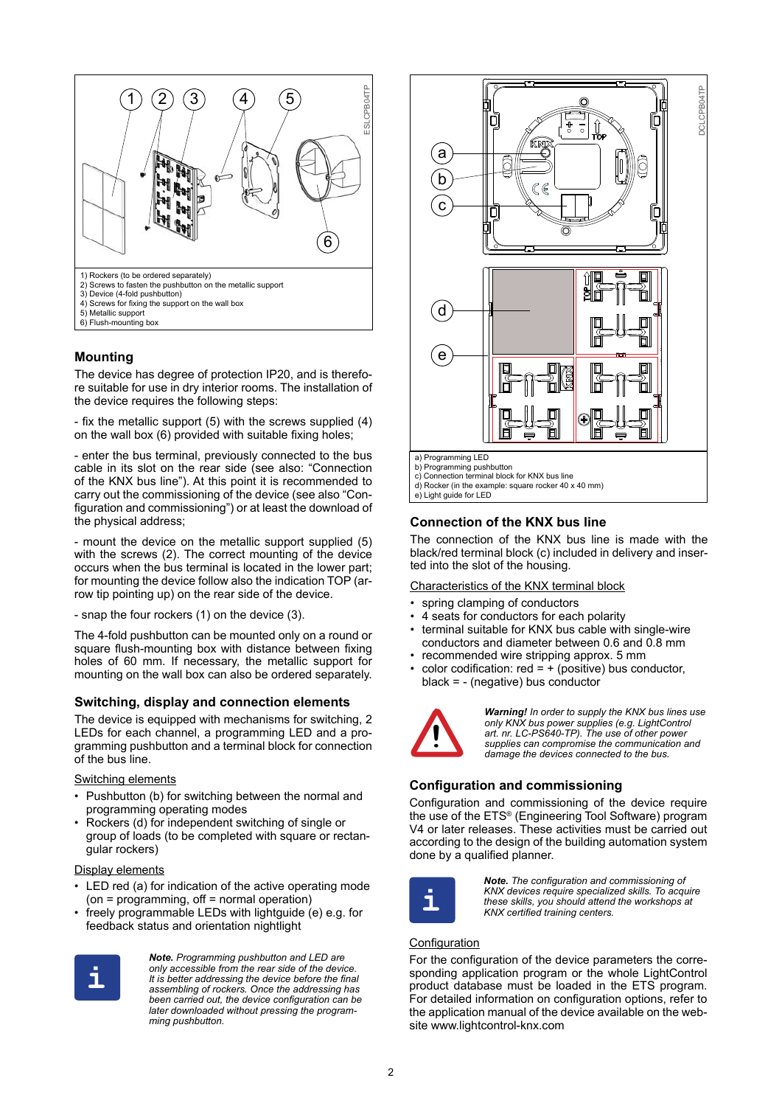

## **Mounting**

The device has degree of protection IP20, and is therefore suitable for use in dry interior rooms. The installation of the device requires the following steps:

- fix the metallic support (5) with the screws supplied (4) on the wall box (6) provided with suitable fixing holes;

- enter the bus terminal, previously connected to the bus cable in its slot on the rear side (see also: "Connection of the KNX bus line"). At this point it is recommended to carry out the commissioning of the device (see also "Configuration and commissioning") or at least the download of the physical address;

- mount the device on the metallic support supplied (5) with the screws (2). The correct mounting of the device occurs when the bus terminal is located in the lower part; for mounting the device follow also the indication TOP (arrow tip pointing up) on the rear side of the device.

- snap the four rockers (1) on the device (3).

The 4-fold pushbutton can be mounted only on a round or square flush-mounting box with distance between fixing holes of 60 mm. If necessary, the metallic support for mounting on the wall box can also be ordered separately.

#### **Switching, display and connection elements**

The device is equipped with mechanisms for switching, 2 LEDs for each channel, a programming LED and a programming pushbutton and a terminal block for connection of the bus line.

#### Switching elements

- Pushbutton (b) for switching between the normal and programming operating modes
- Rockers (d) for independent switching of single or group of loads (to be completed with square or rectangular rockers)

#### Display elements

- LED red (a) for indication of the active operating mode  $(on = programming, off = normal operation)$
- freely programmable LEDs with lightguide (e) e.g. for feedback status and orientation nightlight



*Note. Programming pushbutton and LED are only accessible from the rear side of the device. It is better addressing the device before the final assembling of rockers. Once the addressing has been carried out, the device configuration can be later downloaded without pressing the programming pushbutton.*



### **Connection of the KNX bus line**

The connection of the KNX bus line is made with the black/red terminal block (c) included in delivery and inserted into the slot of the housing.

#### Characteristics of the KNX terminal block

- spring clamping of conductors
- 4 seats for conductors for each polarity
- terminal suitable for KNX bus cable with single-wire conductors and diameter between 0.6 and 0.8 mm
- recommended wire stripping approx. 5 mm
- color codification:  $red = + (positive)$  bus conductor, black = - (negative) bus conductor



*Warning! In order to supply the KNX bus lines use only KNX bus power supplies (e.g. LightControl art. nr. LC-PS640-TP). The use of other power supplies can compromise the communication and damage the devices connected to the bus.*

### **Configuration and commissioning**

Configuration and commissioning of the device require the use of the ETS® (Engineering Tool Software) program V4 or later releases. These activities must be carried out according to the design of the building automation system done by a qualified planner.



*Note. The configuration and commissioning of KNX devices require specialized skills. To acquire these skills, you should attend the workshops at* **i** *KNX certified training centers.*

# **Configuration**

For the configuration of the device parameters the corresponding application program or the whole LightControl product database must be loaded in the ETS program. For detailed information on configuration options, refer to the application manual of the device available on the website www.lightcontrol-knx.com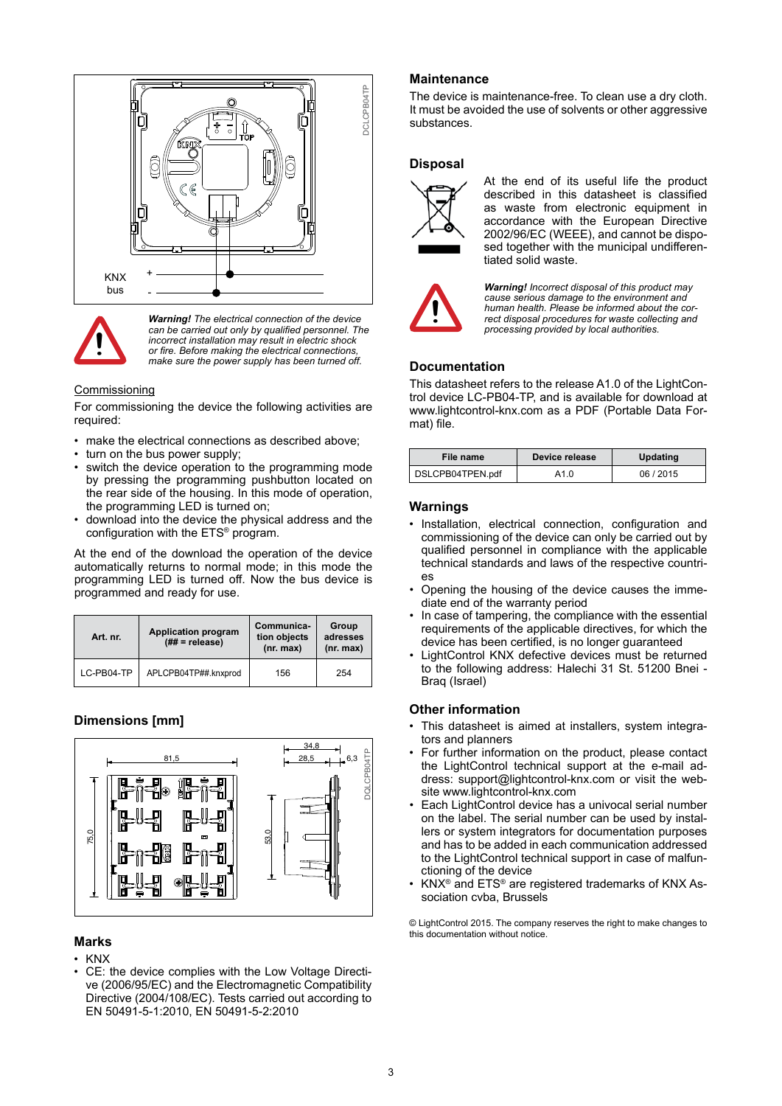



*Warning! The electrical connection of the device can be carried out only by qualified personnel. The incorrect installation may result in electric shock*  **b** *or fire. Before making the electrical connections, make sure the power supply has been turned off.* 

#### **Commissioning**

For commissioning the device the following activities are required:

- make the electrical connections as described above;
- turn on the bus power supply;
- switch the device operation to the programming mode by pressing the programming pushbutton located on the rear side of the housing. In this mode of operation, the programming LED is turned on;
- download into the device the physical address and the configuration with the ETS® program.

At the end of the download the operation of the device automatically returns to normal mode; in this mode the programming LED is turned off. Now the bus device is programmed and ready for use.

| Art. nr.   | <b>Application program</b><br>$(\## = \text{release})$ | Communica-<br>tion objects<br>(nr. max) | Group<br>adresses<br>(nr. max) |
|------------|--------------------------------------------------------|-----------------------------------------|--------------------------------|
| LC-PB04-TP | APLCPB04TP##.knxprod                                   | 156                                     | 254                            |

# **Dimensions [mm]**



# **Marks**

- • KNX
- CE: the device complies with the Low Voltage Directive (2006/95/EC) and the Electromagnetic Compatibility Directive (2004/108/EC). Tests carried out according to EN 50491-5-1:2010, EN 50491-5-2:2010

### **Maintenance**

The device is maintenance-free. To clean use a dry cloth. It must be avoided the use of solvents or other aggressive substances.

## **Disposal**



At the end of its useful life the product described in this datasheet is classified as waste from electronic equipment in accordance with the European Directive 2002/96/EC (WEEE), and cannot be disposed together with the municipal undifferentiated solid waste.



*Warning! Incorrect disposal of this product may cause serious damage to the environment and human health. Please be informed about the correct disposal procedures for waste collecting and processing provided by local authorities.*

# **Documentation**

This datasheet refers to the release A1.0 of the LightControl device LC-PB04-TP, and is available for download at www.lightcontrol-knx.com as a PDF (Portable Data Format) file.

| File name        | Device release | <b>Updating</b> |
|------------------|----------------|-----------------|
| DSLCPB04TPEN.pdf | A1.0           | 06/2015         |

### **Warnings**

- • Installation, electrical connection, configuration and commissioning of the device can only be carried out by qualified personnel in compliance with the applicable technical standards and laws of the respective countries
- Opening the housing of the device causes the immediate end of the warranty period
- In case of tampering, the compliance with the essential requirements of the applicable directives, for which the device has been certified, is no longer guaranteed
- LightControl KNX defective devices must be returned to the following address: Halechi 31 St. 51200 Bnei - Braq (Israel)

### **Other information**

- This datasheet is aimed at installers, system integrators and planners
- For further information on the product, please contact the LightControl technical support at the e-mail address: support@lightcontrol-knx.com or visit the website www.lightcontrol-knx.com
- Each LightControl device has a univocal serial number on the label. The serial number can be used by installers or system integrators for documentation purposes and has to be added in each communication addressed to the LightControl technical support in case of malfunctioning of the device
- $KNX^{\circ}$  and  $ETS^{\circ}$  are registered trademarks of KNX Association cvba, Brussels

© LightControl 2015. The company reserves the right to make changes to this documentation without notice.

3